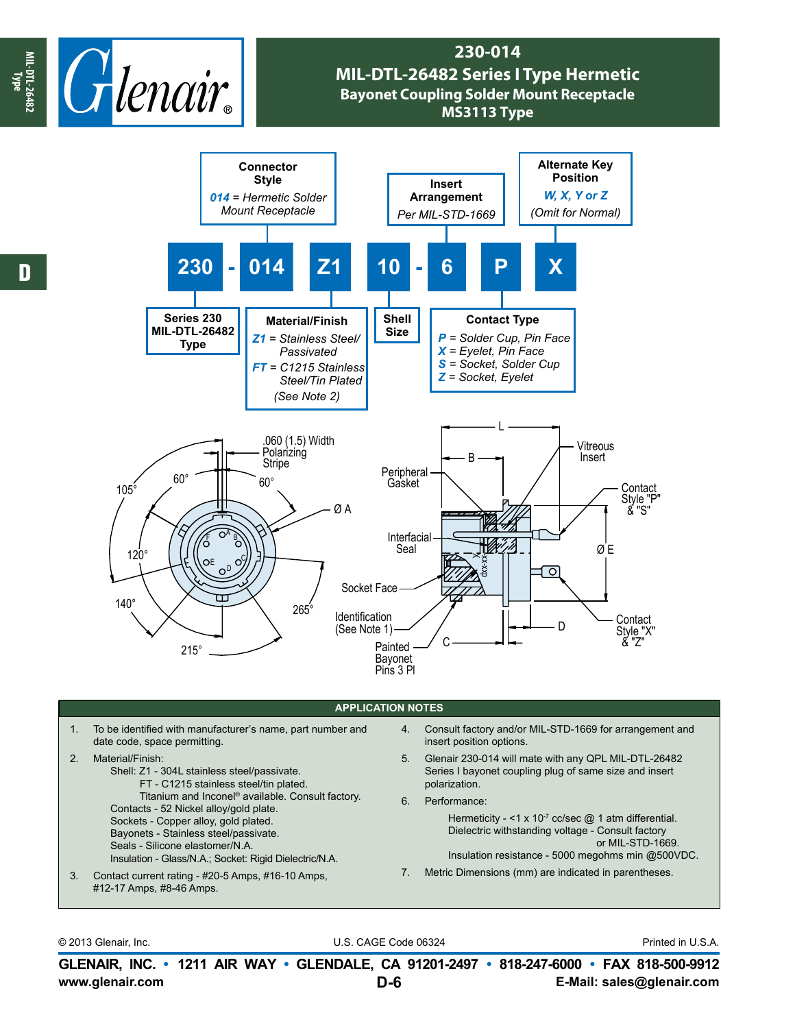

## **230-014 MIL-DTL-26482 Series I Type Hermetic Bayonet Coupling Solder Mount Receptacle MS3113 Type**



## **APPLICATION NOTES**

- 1. To be identified with manufacturer's name, part number and date code, space permitting.
- 2. Material/Finish:
	- Shell: Z1 304L stainless steel/passivate. FT - C1215 stainless steel/tin plated. Titanium and Inconel® available. Consult factory. Contacts - 52 Nickel alloy/gold plate. Sockets - Copper alloy, gold plated. Bayonets - Stainless steel/passivate. Seals - Silicone elastomer/N.A. Insulation - Glass/N.A.; Socket: Rigid Dielectric/N.A.
- 3. Contact current rating #20-5 Amps, #16-10 Amps, #12-17 Amps, #8-46 Amps.
- 4. Consult factory and/or MIL-STD-1669 for arrangement and insert position options.
- 5. Glenair 230-014 will mate with any QPL MIL-DTL-26482 Series I bayonet coupling plug of same size and insert polarization.
- 6. Performance:

Hermeticity - <1 x 10 $<sup>7</sup>$  cc/sec  $@$  1 atm differential.</sup> Dielectric withstanding voltage - Consult factory or MIL-STD-1669.

Insulation resistance - 5000 megohms min @500VDC.

7. Metric Dimensions (mm) are indicated in parentheses.

© 2013 Glenair, Inc. U.S. CAGE Code 06324 Printed in U.S.A.

**www.glenair.com E-Mail: sales@glenair.com GLENAIR, INC. • 1211 AIR WAY • GLENDALE, CA 91201-2497 • 818-247-6000 • FAX 818-500-9912 D-6**

**Type**